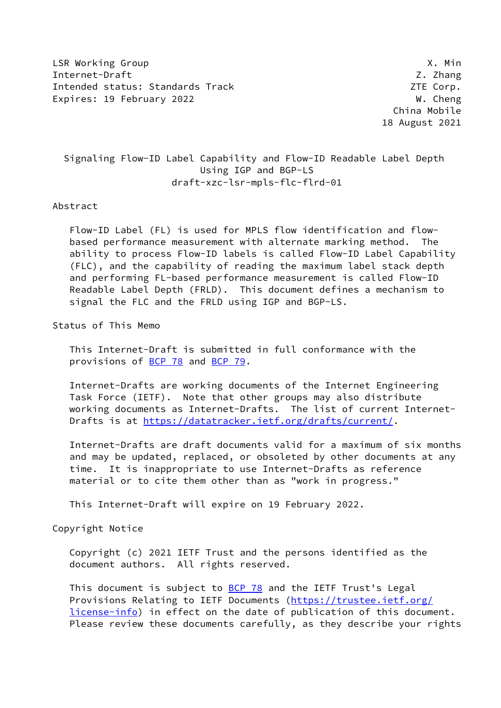LSR Working Group **X. Minimum** X. Minimum X. Minimum X. Minimum X. Minimum X. Min Internet-Draft  $\overline{Z}$ . Zhang Intended status: Standards Track ZTE Corp. Expires: 19 February 2022 W. Cheng

 China Mobile 18 August 2021

# Signaling Flow-ID Label Capability and Flow-ID Readable Label Depth Using IGP and BGP-LS draft-xzc-lsr-mpls-flc-flrd-01

#### Abstract

 Flow-ID Label (FL) is used for MPLS flow identification and flow based performance measurement with alternate marking method. The ability to process Flow-ID labels is called Flow-ID Label Capability (FLC), and the capability of reading the maximum label stack depth and performing FL-based performance measurement is called Flow-ID Readable Label Depth (FRLD). This document defines a mechanism to signal the FLC and the FRLD using IGP and BGP-LS.

Status of This Memo

 This Internet-Draft is submitted in full conformance with the provisions of [BCP 78](https://datatracker.ietf.org/doc/pdf/bcp78) and [BCP 79](https://datatracker.ietf.org/doc/pdf/bcp79).

 Internet-Drafts are working documents of the Internet Engineering Task Force (IETF). Note that other groups may also distribute working documents as Internet-Drafts. The list of current Internet- Drafts is at<https://datatracker.ietf.org/drafts/current/>.

 Internet-Drafts are draft documents valid for a maximum of six months and may be updated, replaced, or obsoleted by other documents at any time. It is inappropriate to use Internet-Drafts as reference material or to cite them other than as "work in progress."

This Internet-Draft will expire on 19 February 2022.

Copyright Notice

 Copyright (c) 2021 IETF Trust and the persons identified as the document authors. All rights reserved.

This document is subject to **[BCP 78](https://datatracker.ietf.org/doc/pdf/bcp78)** and the IETF Trust's Legal Provisions Relating to IETF Documents ([https://trustee.ietf.org/](https://trustee.ietf.org/license-info) [license-info](https://trustee.ietf.org/license-info)) in effect on the date of publication of this document. Please review these documents carefully, as they describe your rights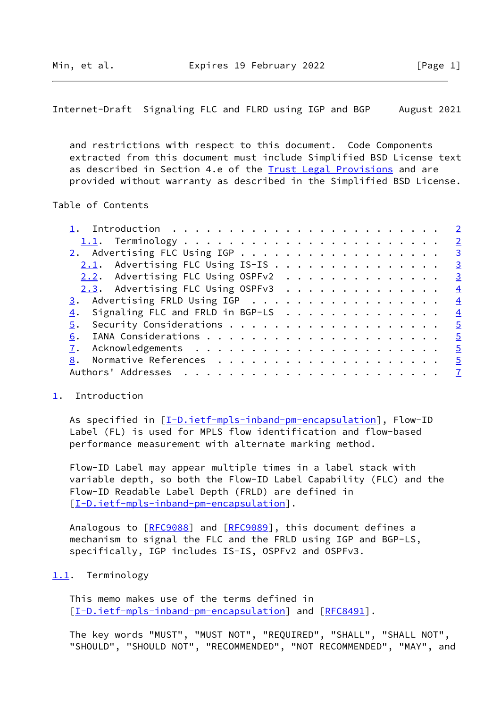<span id="page-1-1"></span>Internet-Draft Signaling FLC and FLRD using IGP and BGP August 2021

 and restrictions with respect to this document. Code Components extracted from this document must include Simplified BSD License text as described in Section 4.e of the [Trust Legal Provisions](https://trustee.ietf.org/license-info) and are provided without warranty as described in the Simplified BSD License.

### Table of Contents

| $2.1$ . Advertising FLC Using IS-IS   | $\overline{\mathbf{3}}$ |
|---------------------------------------|-------------------------|
| 2.2. Advertising FLC Using OSPFv2     | $\overline{\mathbf{3}}$ |
| $2.3$ . Advertising FLC Using OSPFv3  | $\frac{4}{1}$           |
| 3. Advertising FRLD Using IGP         | $\frac{4}{1}$           |
| 4. Signaling FLC and FRLD in BGP-LS 4 |                         |
|                                       |                         |
|                                       |                         |
|                                       |                         |
|                                       |                         |
|                                       |                         |
|                                       |                         |

### <span id="page-1-0"></span>[1](#page-1-0). Introduction

As specified in [\[I-D.ietf-mpls-inband-pm-encapsulation](#page-5-2)], Flow-ID Label (FL) is used for MPLS flow identification and flow-based performance measurement with alternate marking method.

 Flow-ID Label may appear multiple times in a label stack with variable depth, so both the Flow-ID Label Capability (FLC) and the Flow-ID Readable Label Depth (FRLD) are defined in [\[I-D.ietf-mpls-inband-pm-encapsulation](#page-5-2)].

Analogous to [\[RFC9088](https://datatracker.ietf.org/doc/pdf/rfc9088)] and [[RFC9089\]](https://datatracker.ietf.org/doc/pdf/rfc9089), this document defines a mechanism to signal the FLC and the FRLD using IGP and BGP-LS, specifically, IGP includes IS-IS, OSPFv2 and OSPFv3.

### <span id="page-1-2"></span>[1.1](#page-1-2). Terminology

 This memo makes use of the terms defined in [\[I-D.ietf-mpls-inband-pm-encapsulation](#page-5-2)] and [\[RFC8491](https://datatracker.ietf.org/doc/pdf/rfc8491)].

 The key words "MUST", "MUST NOT", "REQUIRED", "SHALL", "SHALL NOT", "SHOULD", "SHOULD NOT", "RECOMMENDED", "NOT RECOMMENDED", "MAY", and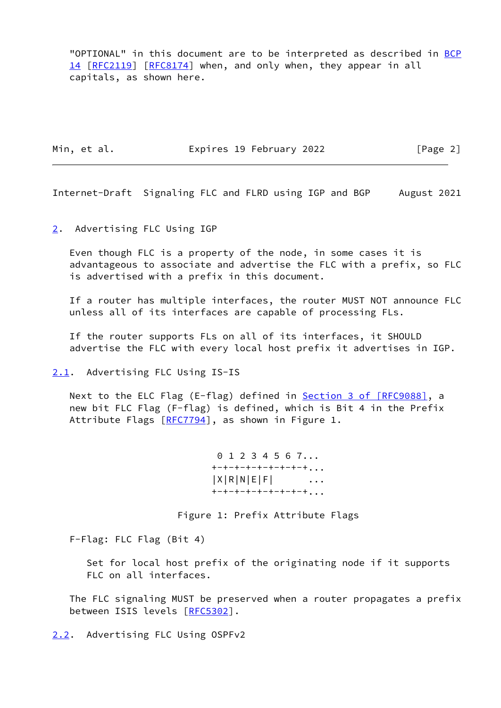"OPTIONAL" in this document are to be interpreted as described in [BCP](https://datatracker.ietf.org/doc/pdf/bcp14) [14](https://datatracker.ietf.org/doc/pdf/bcp14) [[RFC2119\]](https://datatracker.ietf.org/doc/pdf/rfc2119) [\[RFC8174](https://datatracker.ietf.org/doc/pdf/rfc8174)] when, and only when, they appear in all capitals, as shown here.

Min, et al. **Expires 19 February 2022** [Page 2]

<span id="page-2-1"></span>Internet-Draft Signaling FLC and FLRD using IGP and BGP August 2021

<span id="page-2-0"></span>[2](#page-2-0). Advertising FLC Using IGP

 Even though FLC is a property of the node, in some cases it is advantageous to associate and advertise the FLC with a prefix, so FLC is advertised with a prefix in this document.

 If a router has multiple interfaces, the router MUST NOT announce FLC unless all of its interfaces are capable of processing FLs.

 If the router supports FLs on all of its interfaces, it SHOULD advertise the FLC with every local host prefix it advertises in IGP.

<span id="page-2-2"></span>[2.1](#page-2-2). Advertising FLC Using IS-IS

Next to the ELC Flag (E-flag) defined in **Section [3 of \[RFC9088\]](https://datatracker.ietf.org/doc/pdf/rfc9088#section-3)**, a new bit FLC Flag (F-flag) is defined, which is Bit 4 in the Prefix Attribute Flags [\[RFC7794](https://datatracker.ietf.org/doc/pdf/rfc7794)], as shown in Figure 1.

> 0 1 2 3 4 5 6 7... +-+-+-+-+-+-+-+-+...  $|X|R|N|E|F|$  ...  $+$ -+-+-+-+-+-+-+...

Figure 1: Prefix Attribute Flags

F-Flag: FLC Flag (Bit 4)

 Set for local host prefix of the originating node if it supports FLC on all interfaces.

 The FLC signaling MUST be preserved when a router propagates a prefix between ISIS levels [\[RFC5302](https://datatracker.ietf.org/doc/pdf/rfc5302)].

<span id="page-2-3"></span>[2.2](#page-2-3). Advertising FLC Using OSPFv2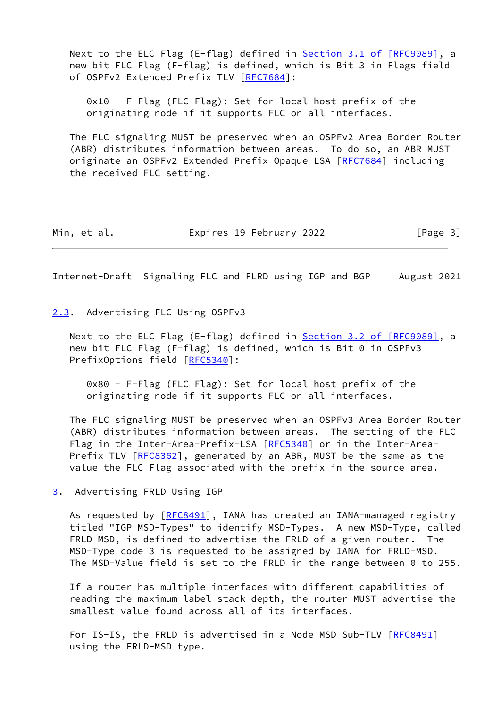Next to the ELC Flag (E-flag) defined in Section [3.1 of \[RFC9089\]](https://datatracker.ietf.org/doc/pdf/rfc9089#section-3.1), a new bit FLC Flag (F-flag) is defined, which is Bit 3 in Flags field of OSPFv2 Extended Prefix TLV [[RFC7684](https://datatracker.ietf.org/doc/pdf/rfc7684)]:

 0x10 - F-Flag (FLC Flag): Set for local host prefix of the originating node if it supports FLC on all interfaces.

 The FLC signaling MUST be preserved when an OSPFv2 Area Border Router (ABR) distributes information between areas. To do so, an ABR MUST originate an OSPFv2 Extended Prefix Opaque LSA [\[RFC7684](https://datatracker.ietf.org/doc/pdf/rfc7684)] including the received FLC setting.

| Min, et al. | Expires 19 February 2022 | [Page 3] |
|-------------|--------------------------|----------|
|-------------|--------------------------|----------|

<span id="page-3-1"></span>Internet-Draft Signaling FLC and FLRD using IGP and BGP August 2021

#### <span id="page-3-0"></span>[2.3](#page-3-0). Advertising FLC Using OSPFv3

Next to the ELC Flag (E-flag) defined in Section [3.2 of \[RFC9089\]](https://datatracker.ietf.org/doc/pdf/rfc9089#section-3.2), a new bit FLC Flag (F-flag) is defined, which is Bit 0 in OSPFv3 PrefixOptions field [\[RFC5340](https://datatracker.ietf.org/doc/pdf/rfc5340)]:

 0x80 - F-Flag (FLC Flag): Set for local host prefix of the originating node if it supports FLC on all interfaces.

 The FLC signaling MUST be preserved when an OSPFv3 Area Border Router (ABR) distributes information between areas. The setting of the FLC Flag in the Inter-Area-Prefix-LSA [[RFC5340](https://datatracker.ietf.org/doc/pdf/rfc5340)] or in the Inter-Area-Prefix TLV [[RFC8362\]](https://datatracker.ietf.org/doc/pdf/rfc8362), generated by an ABR, MUST be the same as the value the FLC Flag associated with the prefix in the source area.

<span id="page-3-2"></span>[3](#page-3-2). Advertising FRLD Using IGP

As requested by  $[REC8491]$ , IANA has created an IANA-managed registry titled "IGP MSD-Types" to identify MSD-Types. A new MSD-Type, called FRLD-MSD, is defined to advertise the FRLD of a given router. The MSD-Type code 3 is requested to be assigned by IANA for FRLD-MSD. The MSD-Value field is set to the FRLD in the range between 0 to 255.

 If a router has multiple interfaces with different capabilities of reading the maximum label stack depth, the router MUST advertise the smallest value found across all of its interfaces.

For IS-IS, the FRLD is advertised in a Node MSD Sub-TLV [\[RFC8491](https://datatracker.ietf.org/doc/pdf/rfc8491)] using the FRLD-MSD type.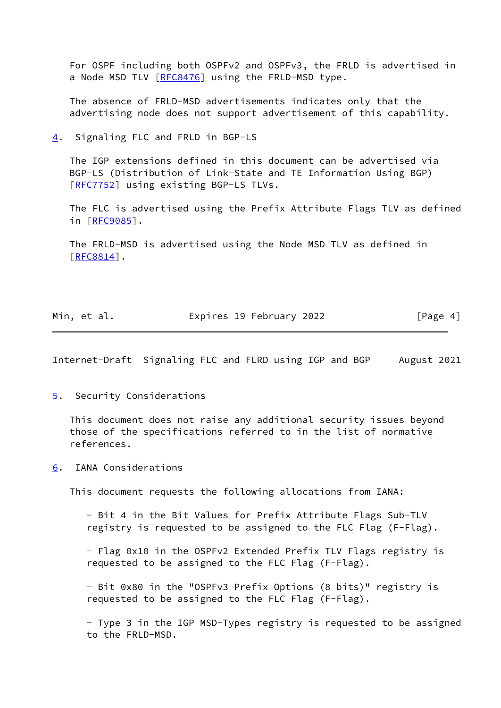For OSPF including both OSPFv2 and OSPFv3, the FRLD is advertised in a Node MSD TLV [\[RFC8476](https://datatracker.ietf.org/doc/pdf/rfc8476)] using the FRLD-MSD type.

 The absence of FRLD-MSD advertisements indicates only that the advertising node does not support advertisement of this capability.

<span id="page-4-0"></span>[4](#page-4-0). Signaling FLC and FRLD in BGP-LS

 The IGP extensions defined in this document can be advertised via BGP-LS (Distribution of Link-State and TE Information Using BGP) [\[RFC7752](https://datatracker.ietf.org/doc/pdf/rfc7752)] using existing BGP-LS TLVs.

 The FLC is advertised using the Prefix Attribute Flags TLV as defined in [[RFC9085\]](https://datatracker.ietf.org/doc/pdf/rfc9085).

 The FRLD-MSD is advertised using the Node MSD TLV as defined in [\[RFC8814](https://datatracker.ietf.org/doc/pdf/rfc8814)].

| Min, et al. | Expires 19 February 2022 |          |
|-------------|--------------------------|----------|
|             |                          | [Page 4] |

<span id="page-4-2"></span>Internet-Draft Signaling FLC and FLRD using IGP and BGP August 2021

<span id="page-4-1"></span>[5](#page-4-1). Security Considerations

 This document does not raise any additional security issues beyond those of the specifications referred to in the list of normative references.

<span id="page-4-3"></span>[6](#page-4-3). IANA Considerations

This document requests the following allocations from IANA:

 - Bit 4 in the Bit Values for Prefix Attribute Flags Sub-TLV registry is requested to be assigned to the FLC Flag (F-Flag).

 - Flag 0x10 in the OSPFv2 Extended Prefix TLV Flags registry is requested to be assigned to the FLC Flag (F-Flag).

 - Bit 0x80 in the "OSPFv3 Prefix Options (8 bits)" registry is requested to be assigned to the FLC Flag (F-Flag).

 - Type 3 in the IGP MSD-Types registry is requested to be assigned to the FRLD-MSD.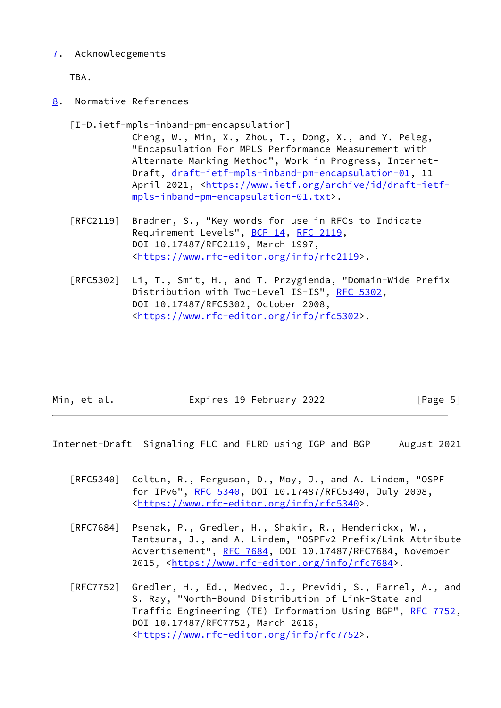## <span id="page-5-0"></span>[7](#page-5-0). Acknowledgements

TBA.

<span id="page-5-1"></span>[8](#page-5-1). Normative References

<span id="page-5-2"></span>[I-D.ietf-mpls-inband-pm-encapsulation]

 Cheng, W., Min, X., Zhou, T., Dong, X., and Y. Peleg, "Encapsulation For MPLS Performance Measurement with Alternate Marking Method", Work in Progress, Internet- Draft, [draft-ietf-mpls-inband-pm-encapsulation-01,](https://datatracker.ietf.org/doc/pdf/draft-ietf-mpls-inband-pm-encapsulation-01) 11 April 2021, [<https://www.ietf.org/archive/id/draft-ietf](https://www.ietf.org/archive/id/draft-ietf-mpls-inband-pm-encapsulation-01.txt) [mpls-inband-pm-encapsulation-01.txt](https://www.ietf.org/archive/id/draft-ietf-mpls-inband-pm-encapsulation-01.txt)>.

- [RFC2119] Bradner, S., "Key words for use in RFCs to Indicate Requirement Levels", [BCP 14](https://datatracker.ietf.org/doc/pdf/bcp14), [RFC 2119](https://datatracker.ietf.org/doc/pdf/rfc2119), DOI 10.17487/RFC2119, March 1997, <[https://www.rfc-editor.org/info/rfc2119>](https://www.rfc-editor.org/info/rfc2119).
- [RFC5302] Li, T., Smit, H., and T. Przygienda, "Domain-Wide Prefix Distribution with Two-Level IS-IS", [RFC 5302,](https://datatracker.ietf.org/doc/pdf/rfc5302) DOI 10.17487/RFC5302, October 2008, <[https://www.rfc-editor.org/info/rfc5302>](https://www.rfc-editor.org/info/rfc5302).

| Min, et al. | Expires 19 February 2022 | [Page 5] |
|-------------|--------------------------|----------|
|             |                          |          |

Internet-Draft Signaling FLC and FLRD using IGP and BGP August 2021

- [RFC5340] Coltun, R., Ferguson, D., Moy, J., and A. Lindem, "OSPF for IPv6", [RFC 5340](https://datatracker.ietf.org/doc/pdf/rfc5340), DOI 10.17487/RFC5340, July 2008, <[https://www.rfc-editor.org/info/rfc5340>](https://www.rfc-editor.org/info/rfc5340).
- [RFC7684] Psenak, P., Gredler, H., Shakir, R., Henderickx, W., Tantsura, J., and A. Lindem, "OSPFv2 Prefix/Link Attribute Advertisement", [RFC 7684,](https://datatracker.ietf.org/doc/pdf/rfc7684) DOI 10.17487/RFC7684, November 2015, [<https://www.rfc-editor.org/info/rfc7684](https://www.rfc-editor.org/info/rfc7684)>.
- [RFC7752] Gredler, H., Ed., Medved, J., Previdi, S., Farrel, A., and S. Ray, "North-Bound Distribution of Link-State and Traffic Engineering (TE) Information Using BGP", [RFC 7752,](https://datatracker.ietf.org/doc/pdf/rfc7752) DOI 10.17487/RFC7752, March 2016, <[https://www.rfc-editor.org/info/rfc7752>](https://www.rfc-editor.org/info/rfc7752).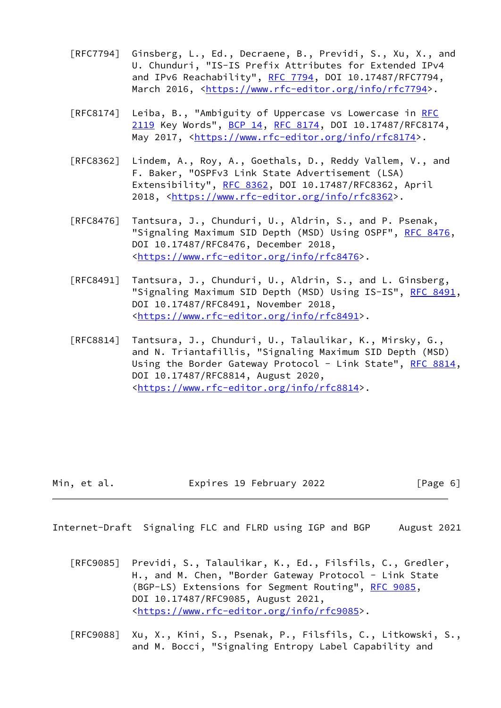- [RFC7794] Ginsberg, L., Ed., Decraene, B., Previdi, S., Xu, X., and U. Chunduri, "IS-IS Prefix Attributes for Extended IPv4 and IPv6 Reachability", [RFC 7794,](https://datatracker.ietf.org/doc/pdf/rfc7794) DOI 10.17487/RFC7794, March 2016, [<https://www.rfc-editor.org/info/rfc7794](https://www.rfc-editor.org/info/rfc7794)>.
- [RFC8174] Leiba, B., "Ambiguity of Uppercase vs Lowercase in [RFC](https://datatracker.ietf.org/doc/pdf/rfc2119) [2119](https://datatracker.ietf.org/doc/pdf/rfc2119) Key Words", [BCP 14](https://datatracker.ietf.org/doc/pdf/bcp14), [RFC 8174,](https://datatracker.ietf.org/doc/pdf/rfc8174) DOI 10.17487/RFC8174, May 2017, [<https://www.rfc-editor.org/info/rfc8174](https://www.rfc-editor.org/info/rfc8174)>.
- [RFC8362] Lindem, A., Roy, A., Goethals, D., Reddy Vallem, V., and F. Baker, "OSPFv3 Link State Advertisement (LSA) Extensibility", [RFC 8362,](https://datatracker.ietf.org/doc/pdf/rfc8362) DOI 10.17487/RFC8362, April 2018, [<https://www.rfc-editor.org/info/rfc8362](https://www.rfc-editor.org/info/rfc8362)>.
- [RFC8476] Tantsura, J., Chunduri, U., Aldrin, S., and P. Psenak, "Signaling Maximum SID Depth (MSD) Using OSPF", [RFC 8476,](https://datatracker.ietf.org/doc/pdf/rfc8476) DOI 10.17487/RFC8476, December 2018, <[https://www.rfc-editor.org/info/rfc8476>](https://www.rfc-editor.org/info/rfc8476).
- [RFC8491] Tantsura, J., Chunduri, U., Aldrin, S., and L. Ginsberg, "Signaling Maximum SID Depth (MSD) Using IS-IS", [RFC 8491,](https://datatracker.ietf.org/doc/pdf/rfc8491) DOI 10.17487/RFC8491, November 2018, <[https://www.rfc-editor.org/info/rfc8491>](https://www.rfc-editor.org/info/rfc8491).
- [RFC8814] Tantsura, J., Chunduri, U., Talaulikar, K., Mirsky, G., and N. Triantafillis, "Signaling Maximum SID Depth (MSD) Using the Border Gateway Protocol - Link State", [RFC 8814,](https://datatracker.ietf.org/doc/pdf/rfc8814) DOI 10.17487/RFC8814, August 2020, <[https://www.rfc-editor.org/info/rfc8814>](https://www.rfc-editor.org/info/rfc8814).

| Expires 19 February 2022<br>Min, et al. | [Page 6] |
|-----------------------------------------|----------|
|-----------------------------------------|----------|

<span id="page-6-0"></span>Internet-Draft Signaling FLC and FLRD using IGP and BGP August 2021

- [RFC9085] Previdi, S., Talaulikar, K., Ed., Filsfils, C., Gredler, H., and M. Chen, "Border Gateway Protocol - Link State (BGP-LS) Extensions for Segment Routing", [RFC 9085](https://datatracker.ietf.org/doc/pdf/rfc9085), DOI 10.17487/RFC9085, August 2021, <[https://www.rfc-editor.org/info/rfc9085>](https://www.rfc-editor.org/info/rfc9085).
- [RFC9088] Xu, X., Kini, S., Psenak, P., Filsfils, C., Litkowski, S., and M. Bocci, "Signaling Entropy Label Capability and